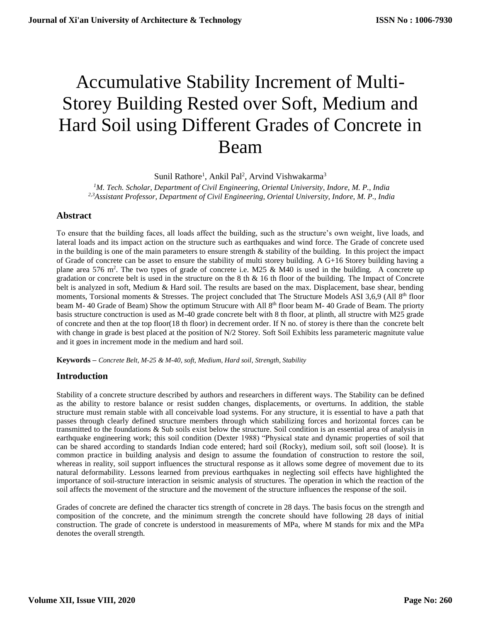# Accumulative Stability Increment of Multi-Storey Building Rested over Soft, Medium and Hard Soil using Different Grades of Concrete in Beam

Sunil Rathore<sup>1</sup>, Ankil Pal<sup>2</sup>, Arvind Vishwakarma<sup>3</sup>

*<sup>1</sup>M. Tech. Scholar, Department of Civil Engineering, Oriental University, Indore, M. P., India 2,3Assistant Professor, Department of Civil Engineering, Oriental University, Indore, M. P., India*

# **Abstract**

To ensure that the building faces, all loads affect the building, such as the structure's own weight, live loads, and lateral loads and its impact action on the structure such as earthquakes and wind force. The Grade of concrete used in the building is one of the main parameters to ensure strength & stability of the building. In this project the impact of Grade of concrete can be asset to ensure the stability of multi storey building. A G+16 Storey building having a plane area 576 m<sup>2</sup>. The two types of grade of concrete i.e. M25 & M40 is used in the building. A concrete up gradation or concrete belt is used in the structure on the 8 th & 16 th floor of the building. The Impact of Concrete belt is analyzed in soft, Medium & Hard soil. The results are based on the max. Displacement, base shear, bending moments, Torsional moments & Stresses. The project concluded that The Structure Models ASI 3,6,9 (All 8<sup>th</sup> floor beam M- 40 Grade of Beam) Show the optimum Strucure with All 8<sup>th</sup> floor beam M- 40 Grade of Beam. The priorty basis structure conctruction is used as M-40 grade concrete belt with 8 th floor, at plinth, all structre with M25 grade of concrete and then at the top floor(18 th floor) in decrement order. If N no. of storey is there than the concrete belt with change in grade is best placed at the position of N/2 Storey. Soft Soil Exhibits less parameteric magnitute value and it goes in increment mode in the medium and hard soil.

**Keywords –** *Concrete Belt, M-25 & M-40, soft, Medium, Hard soil, Strength, Stability*

# **Introduction**

Stability of a concrete structure described by authors and researchers in different ways. The Stability can be defined as the ability to restore balance or resist sudden changes, displacements, or overturns. In addition, the stable structure must remain stable with all conceivable load systems. For any structure, it is essential to have a path that passes through clearly defined structure members through which stabilizing forces and horizontal forces can be transmitted to the foundations & Sub soils exist below the structure. Soil condition is an essential area of analysis in earthquake engineering work; this soil condition (Dexter 1988) "Physical state and dynamic properties of soil that can be shared according to standards Indian code entered; hard soil (Rocky), medium soil, soft soil (loose). It is common practice in building analysis and design to assume the foundation of construction to restore the soil, whereas in reality, soil support influences the structural response as it allows some degree of movement due to its natural deformability. Lessons learned from previous earthquakes in neglecting soil effects have highlighted the importance of soil-structure interaction in seismic analysis of structures. The operation in which the reaction of the soil affects the movement of the structure and the movement of the structure influences the response of the soil.

Grades of concrete are defined the character tics strength of concrete in 28 days. The basis focus on the strength and composition of the concrete, and the minimum strength the concrete should have following 28 days of initial construction. The grade of concrete is understood in measurements of MPa, where M stands for mix and the MPa denotes the overall strength.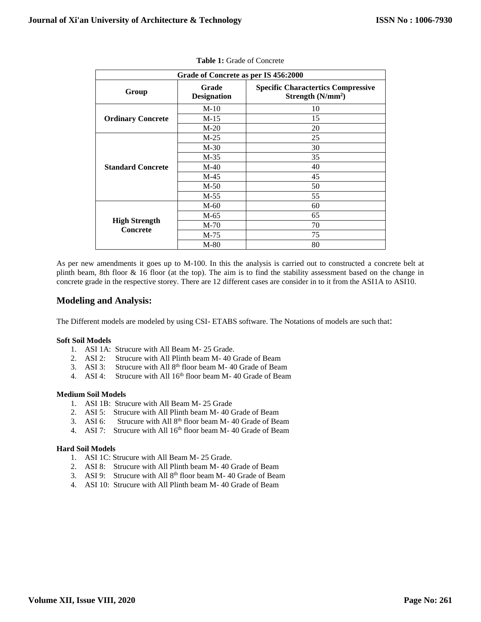| Grade of Concrete as per IS 456:2000 |                             |                                                                  |  |
|--------------------------------------|-----------------------------|------------------------------------------------------------------|--|
| Group                                | Grade<br><b>Designation</b> | <b>Specific Charactertics Compressive</b><br>Strength $(N/mm^2)$ |  |
|                                      | $M-10$                      | 10                                                               |  |
| <b>Ordinary Concrete</b>             | $M-15$                      | 15                                                               |  |
|                                      | $M-20$                      | 20                                                               |  |
|                                      | $M-25$                      | 25                                                               |  |
| <b>Standard Concrete</b>             | $M-30$                      | 30                                                               |  |
|                                      | $M-35$                      | 35                                                               |  |
|                                      | $M-40$                      | 40                                                               |  |
|                                      | $M-45$                      | 45                                                               |  |
|                                      | $M-50$                      | 50                                                               |  |
|                                      | $M-55$                      | 55                                                               |  |
|                                      | $M-60$                      | 60                                                               |  |
|                                      | M-65                        | 65                                                               |  |
| <b>High Strength</b><br>Concrete     | $M-70$                      | 70                                                               |  |
|                                      | $M-75$                      | 75                                                               |  |
|                                      | $M-80$                      | 80                                                               |  |

|  |  |  | <b>Table 1:</b> Grade of Concrete |
|--|--|--|-----------------------------------|
|--|--|--|-----------------------------------|

As per new amendments it goes up to M-100. In this the analysis is carried out to constructed a concrete belt at plinth beam, 8th floor & 16 floor (at the top). The aim is to find the stability assessment based on the change in concrete grade in the respective storey. There are 12 different cases are consider in to it from the ASI1A to ASI10.

### **Modeling and Analysis:**

The Different models are modeled by using CSI- ETABS software. The Notations of models are such that:

#### **Soft Soil Models**

- 1. ASI 1A: Strucure with All Beam M- 25 Grade.
- 2. ASI 2: Strucure with All Plinth beam M- 40 Grade of Beam
- 3. ASI 3: Strucure with All 8<sup>th</sup> floor beam M- 40 Grade of Beam
- 4. ASI 4: Strucure with All  $16<sup>th</sup>$  floor beam M-40 Grade of Beam

#### **Medium Soil Models**

- 1. ASI 1B: Strucure with All Beam M- 25 Grade
- 2. ASI 5: Strucure with All Plinth beam M- 40 Grade of Beam
- 3. ASI 6: Strucure with All  $8<sup>th</sup>$  floor beam M-40 Grade of Beam
- 4. ASI 7: Strucure with All  $16<sup>th</sup>$  floor beam M-40 Grade of Beam

#### **Hard Soil Models**

- 1. ASI 1C: Strucure with All Beam M- 25 Grade.
- 2. ASI 8: Strucure with All Plinth beam M- 40 Grade of Beam
- 3. ASI 9: Strucure with All  $8<sup>th</sup>$  floor beam M-40 Grade of Beam
- 4. ASI 10: Strucure with All Plinth beam M- 40 Grade of Beam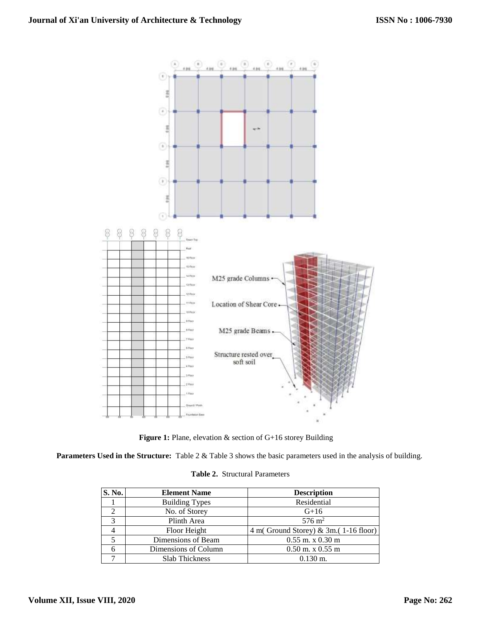

**Figure 1:** Plane, elevation & section of G+16 storey Building

**Parameters Used in the Structure:** Table 2 & Table 3 shows the basic parameters used in the analysis of building.

|  |  | <b>Table 2.</b> Structural Parameters |
|--|--|---------------------------------------|
|--|--|---------------------------------------|

| S. No. | <b>Element Name</b>   | <b>Description</b>                              |
|--------|-----------------------|-------------------------------------------------|
|        | <b>Building Types</b> | Residential                                     |
|        | No. of Storey         | $G+16$                                          |
| 3      | Plinth Area           | $576 \text{ m}^2$                               |
| 4      | Floor Height          | $4 \text{ m}$ (Ground Storey) & 3m.(1-16 floor) |
|        | Dimensions of Beam    | $0.55$ m. x $0.30$ m                            |
|        | Dimensions of Column  | $0.50$ m. x $0.55$ m                            |
|        | <b>Slab Thickness</b> | $0.130 \text{ m}$ .                             |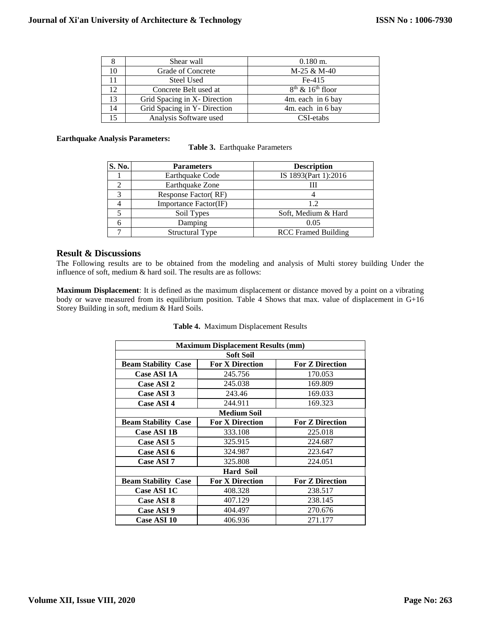| ŏ  | Shear wall                   | $0.180$ m.           |
|----|------------------------------|----------------------|
| 10 | Grade of Concrete            | M-25 & M-40          |
| 11 | Steel Used                   | $Fe-415$             |
| 12 | Concrete Belt used at        | $8th$ & $16th$ floor |
| 13 | Grid Spacing in X- Direction | 4m. each in 6 bay    |
| 14 | Grid Spacing in Y- Direction | 4m. each in 6 bay    |
| 15 | Analysis Software used       | CSI-etabs            |

#### **Earthquake Analysis Parameters:**

**Table 3.** Earthquake Parameters

| S. No. | <b>Parameters</b>      | <b>Description</b>         |
|--------|------------------------|----------------------------|
|        | Earthquake Code        | IS 1893(Part 1):2016       |
|        | Earthquake Zone        | Ш                          |
|        | Response Factor (RF)   |                            |
|        | Importance Factor(IF)  | 12                         |
|        | Soil Types             | Soft, Medium & Hard        |
|        | Damping                | 0.05                       |
|        | <b>Structural Type</b> | <b>RCC</b> Framed Building |

#### **Result & Discussions**

The Following results are to be obtained from the modeling and analysis of Multi storey building Under the influence of soft, medium & hard soil. The results are as follows:

**Maximum Displacement**: It is defined as the maximum displacement or distance moved by a point on a vibrating body or wave measured from its equilibrium position. Table 4 Shows that max. value of displacement in G+16 Storey Building in soft, medium & Hard Soils.

| <b>Maximum Displacement Results (mm)</b> |                        |                        |  |  |
|------------------------------------------|------------------------|------------------------|--|--|
| <b>Soft Soil</b>                         |                        |                        |  |  |
| <b>Beam Stability Case</b>               | <b>For X Direction</b> | <b>For Z Direction</b> |  |  |
| <b>Case ASI 1A</b>                       | 245.756                | 170.053                |  |  |
| Case ASI 2                               | 245.038                | 169.809                |  |  |
| Case ASI 3                               | 243.46                 | 169.033                |  |  |
| Case ASI 4                               | 244.911                | 169.323                |  |  |
| <b>Medium Soil</b>                       |                        |                        |  |  |
| <b>Beam Stability Case</b>               | <b>For X Direction</b> | <b>For Z Direction</b> |  |  |
| <b>Case ASI 1B</b>                       | 333.108                | 225.018                |  |  |
| Case ASI 5                               | 325.915                | 224.687                |  |  |
| Case ASI 6                               | 324.987                | 223.647                |  |  |
| Case ASI 7                               | 325.808                | 224.051                |  |  |
|                                          | <b>Hard Soil</b>       |                        |  |  |
| <b>Beam Stability Case</b>               | <b>For X Direction</b> | <b>For Z Direction</b> |  |  |
| Case ASI 1C                              | 408.328                | 238.517                |  |  |
| Case ASI 8                               | 407.129                | 238.145                |  |  |
| Case ASI 9                               | 404.497                | 270.676                |  |  |
| Case ASI 10                              | 406.936                | 271.177                |  |  |

#### **Table 4.** Maximum Displacement Results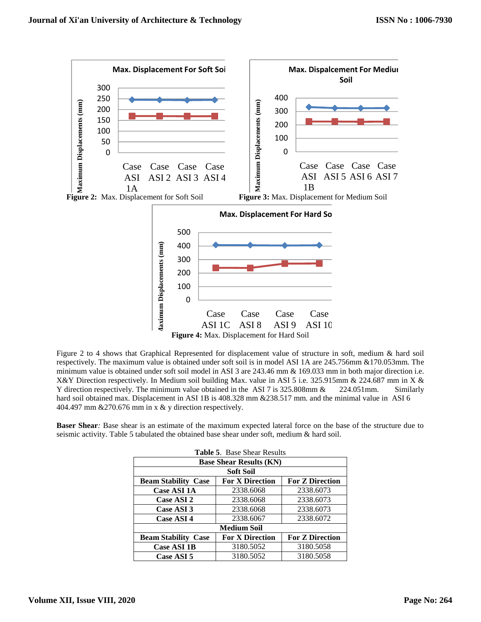

Figure 2 to 4 shows that Graphical Represented for displacement value of structure in soft, medium & hard soil respectively. The maximum value is obtained under soft soil is in model ASI 1A are 245.756mm &170.053mm. The minimum value is obtained under soft soil model in ASI 3 are 243.46 mm & 169.033 mm in both major direction i.e. X&Y Direction respectively. In Medium soil building Max. value in ASI 5 i.e. 325.915mm & 224.687 mm in X & Y direction respectively. The minimum value obtained in the ASI 7 is 325.808mm & 224.051mm. Similarly hard soil obtained max. Displacement in ASI 1B is 408.328 mm &238.517 mm. and the minimal value in ASI 6 404.497 mm &270.676 mm in x & y direction respectively.

**Baser Shear***:* Base shear is an estimate of the maximum expected lateral force on the base of the structure due to seismic activity. Table 5 tabulated the obtained base shear under soft, medium & hard soil.

| <b>Table 5. Base Shear Results</b>                                             |                    |           |  |  |
|--------------------------------------------------------------------------------|--------------------|-----------|--|--|
| <b>Base Shear Results (KN)</b>                                                 |                    |           |  |  |
|                                                                                | Soft Soil          |           |  |  |
| <b>For X Direction</b><br><b>For Z Direction</b><br><b>Beam Stability Case</b> |                    |           |  |  |
| <b>Case ASI 1A</b>                                                             | 2338.6068          | 2338.6073 |  |  |
| Case ASI 2                                                                     | 2338.6068          | 2338.6073 |  |  |
| Case ASI 3                                                                     | 2338.6068          | 2338.6073 |  |  |
| Case ASI 4                                                                     | 2338.6067          | 2338.6072 |  |  |
|                                                                                | <b>Medium Soil</b> |           |  |  |
| <b>For Z Direction</b><br><b>For X Direction</b><br><b>Beam Stability Case</b> |                    |           |  |  |
| <b>Case ASI 1B</b>                                                             | 3180.5052          | 3180.5058 |  |  |
| Case ASI 5                                                                     | 3180.5052          | 3180.5058 |  |  |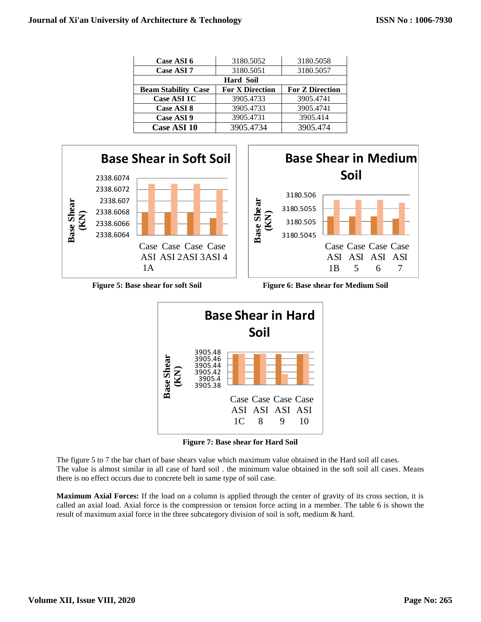| Case ASI 6                 | 3180.5052              | 3180.5058              |
|----------------------------|------------------------|------------------------|
| Case ASI 7                 | 3180.5051              | 3180.5057              |
|                            | <b>Hard Soil</b>       |                        |
| <b>Beam Stability Case</b> | <b>For X Direction</b> | <b>For Z Direction</b> |
| Case ASI 1C                | 3905.4733              | 3905.4741              |
| Case ASI 8                 | 3905.4733              | 3905.4741              |
| Case ASI 9                 | 3905.4731              | 3905.414               |
| <b>Case ASI 10</b>         | 3905.4734              | 3905.474               |





**Figure 5: Base shear for soft Soil Figure 6: Base shear for Medium Soil**



**Figure 7: Base shear for Hard Soil**

The figure 5 to 7 the bar chart of base shears value which maximum value obtained in the Hard soil all cases. The value is almost similar in all case of hard soil . the minimum value obtained in the soft soil all cases. Means there is no effect occurs due to concrete belt in same type of soil case.

**Maximum Axial Forces:** If the load on a column is applied through the center of gravity of its cross section, it is called an axial load. Axial force is the compression or tension force acting in a member. The table 6 is shown the result of maximum axial force in the three subcategory division of soil is soft, medium & hard.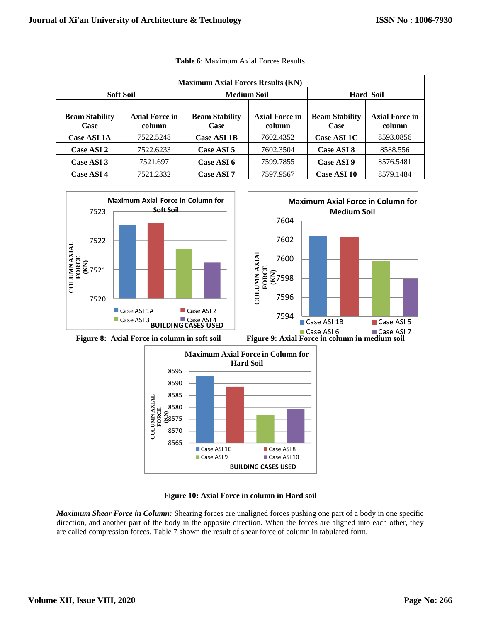| <b>Maximum Axial Forces Results (KN)</b> |                                                            |                                                                         |           |                               |                                 |
|------------------------------------------|------------------------------------------------------------|-------------------------------------------------------------------------|-----------|-------------------------------|---------------------------------|
|                                          | <b>Soft Soil</b><br><b>Medium Soil</b><br><b>Hard Soil</b> |                                                                         |           |                               |                                 |
| <b>Beam Stability</b><br>Case            | <b>Axial Force in</b><br>column                            | <b>Axial Force in</b><br><b>Beam Stability</b><br>column<br><b>Case</b> |           | <b>Beam Stability</b><br>Case | <b>Axial Force in</b><br>column |
| <b>Case ASI 1A</b>                       | 7522.5248                                                  | <b>Case ASI 1B</b>                                                      | 7602.4352 | <b>Case ASI 1C</b>            | 8593.0856                       |
| Case ASI 2                               | 7522.6233                                                  | Case ASI 5                                                              | 7602.3504 | Case ASI 8                    | 8588.556                        |
| Case ASI 3                               | 7521.697                                                   | Case ASI 6                                                              | 7599.7855 | Case ASI 9                    | 8576.5481                       |
| Case ASI 4                               | 7521.2332                                                  | Case ASI 7                                                              | 7597.9567 | Case ASI 10                   | 8579.1484                       |

| <b>Table 6:</b> Maximum Axial Forces Results |  |  |  |
|----------------------------------------------|--|--|--|
|----------------------------------------------|--|--|--|







**Figure 10: Axial Force in column in Hard soil**

*Maximum Shear Force in Column:* Shearing forces are unaligned forces pushing one part of a body in one specific direction, and another part of the body in the opposite direction. When the forces are aligned into each other, they are called compression forces. Table 7 shown the result of shear force of column in tabulated form.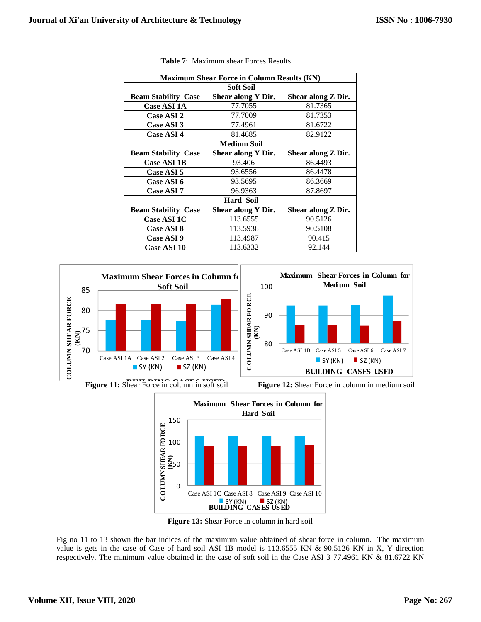| <b>Maximum Shear Force in Column Results (KN)</b> |                    |                    |  |  |
|---------------------------------------------------|--------------------|--------------------|--|--|
| Soft Soil                                         |                    |                    |  |  |
| <b>Beam Stability Case</b>                        | Shear along Y Dir. | Shear along Z Dir. |  |  |
| <b>Case ASI 1A</b>                                | 77.7055            | 81.7365            |  |  |
| <b>Case ASI 2</b>                                 | 77.7009            | 81.7353            |  |  |
| Case ASI 3                                        | 77.4961            | 81.6722            |  |  |
| Case ASI 4                                        | 81.4685            | 82.9122            |  |  |
|                                                   | <b>Medium Soil</b> |                    |  |  |
| <b>Beam Stability Case</b>                        | Shear along Y Dir. | Shear along Z Dir. |  |  |
| <b>Case ASI 1B</b>                                | 93.406             | 86.4493            |  |  |
| Case ASI 5                                        | 93.6556            | 86.4478            |  |  |
| Case ASI 6                                        | 93.5695            | 86.3669            |  |  |
| Case ASI 7                                        | 96.9363            | 87.8697            |  |  |
|                                                   | <b>Hard Soil</b>   |                    |  |  |
| <b>Beam Stability Case</b>                        | Shear along Y Dir. | Shear along Z Dir. |  |  |
| <b>Case ASI 1C</b>                                | 113.6555           | 90.5126            |  |  |
| <b>Case ASI 8</b>                                 | 113.5936           | 90.5108            |  |  |
| Case ASI 9                                        | 113.4987           | 90.415             |  |  |
| Case ASI 10                                       | 113.6332           | 92.144             |  |  |

 **Table 7**: Maximum shear Forces Results





**Figure 13:** Shear Force in column in hard soil

Fig no 11 to 13 shown the bar indices of the maximum value obtained of shear force in column. The maximum value is gets in the case of Case of hard soil ASI 1B model is 113.6555 KN & 90.5126 KN in X, Y direction respectively. The minimum value obtained in the case of soft soil in the Case ASI 3 77.4961 KN & 81.6722 KN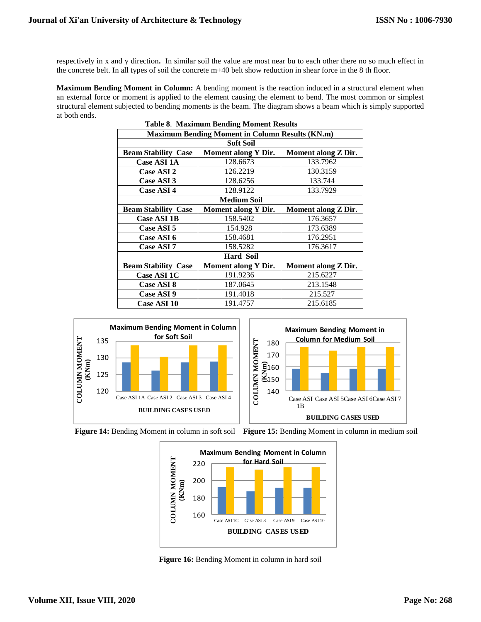respectively in x and y direction**.** In similar soil the value are most near bu to each other there no so much effect in the concrete belt. In all types of soil the concrete m+40 belt show reduction in shear force in the 8 th floor.

**Maximum Bending Moment in Column:** A bending moment is the reaction induced in a structural element when an external force or moment is applied to the element causing the element to bend. The most common or simplest structural element subjected to bending moments is the beam. The diagram shows a beam which is simply supported at both ends.

| <b>Table 8. Maximum Bending Moment Results</b> |                                                        |                     |  |
|------------------------------------------------|--------------------------------------------------------|---------------------|--|
|                                                | <b>Maximum Bending Moment in Column Results (KN.m)</b> |                     |  |
|                                                | <b>Soft Soil</b>                                       |                     |  |
| <b>Beam Stability Case</b>                     | <b>Moment along Y Dir.</b>                             | Moment along Z Dir. |  |
| <b>Case ASI 1A</b>                             | 128.6673                                               | 133.7962            |  |
| Case ASI 2                                     | 126.2219                                               | 130.3159            |  |
| Case ASI 3                                     | 128.6256                                               | 133.744             |  |
| Case ASI 4                                     | 128.9122                                               | 133.7929            |  |
| <b>Medium Soil</b>                             |                                                        |                     |  |
| <b>Beam Stability Case</b>                     | <b>Moment along Y Dir.</b>                             | Moment along Z Dir. |  |
| <b>Case ASI 1B</b>                             | 158.5402                                               | 176.3657            |  |
| Case ASI 5                                     | 154.928                                                | 173.6389            |  |
| Case ASI 6                                     | 158.4681                                               | 176.2951            |  |
| Case ASI 7                                     | 158.5282                                               | 176.3617            |  |
| <b>Hard Soil</b>                               |                                                        |                     |  |
| <b>Beam Stability Case</b>                     | <b>Moment along Y Dir.</b>                             | Moment along Z Dir. |  |
| Case ASI 1C                                    | 191.9236                                               | 215.6227            |  |
| Case ASI 8                                     | 187.0645                                               | 213.1548            |  |
| Case ASI 9                                     | 191.4018                                               | 215.527             |  |
| <b>Case ASI 10</b>                             | 191.4757                                               | 215.6185            |  |







Figure 16: Bending Moment in column in hard soil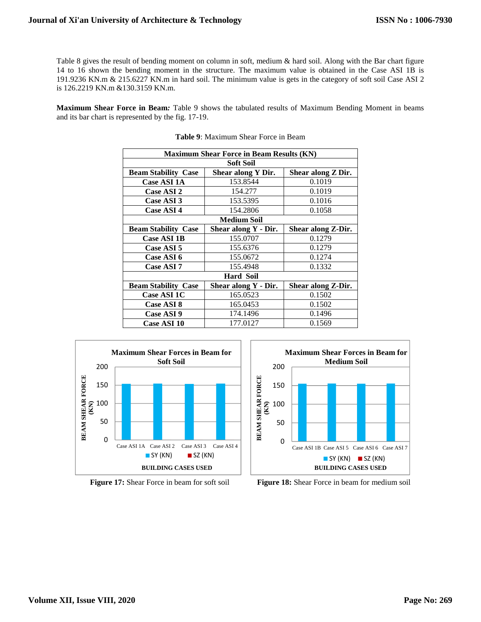Table 8 gives the result of bending moment on column in soft, medium & hard soil. Along with the Bar chart figure 14 to 16 shown the bending moment in the structure. The maximum value is obtained in the Case ASI 1B is 191.9236 KN.m & 215.6227 KN.m in hard soil. The minimum value is gets in the category of soft soil Case ASI 2 is 126.2219 KN.m &130.3159 KN.m.

**Maximum Shear Force in Beam***:* Table 9 shows the tabulated results of Maximum Bending Moment in beams and its bar chart is represented by the fig. 17-19.

| <b>Maximum Shear Force in Beam Results (KN)</b>                        |                      |                    |  |  |
|------------------------------------------------------------------------|----------------------|--------------------|--|--|
|                                                                        | Soft Soil            |                    |  |  |
| <b>Beam Stability Case</b><br>Shear along Y Dir.<br>Shear along Z Dir. |                      |                    |  |  |
| <b>Case ASI 1A</b>                                                     | 153.8544             | 0.1019             |  |  |
| Case ASI 2                                                             | 154.277              | 0.1019             |  |  |
| Case ASI 3                                                             | 153.5395             | 0.1016             |  |  |
| Case ASI 4                                                             | 154.2806             | 0.1058             |  |  |
| <b>Medium Soil</b>                                                     |                      |                    |  |  |
| <b>Beam Stability Case</b>                                             | Shear along Y - Dir. | Shear along Z-Dir. |  |  |
| <b>Case ASI 1B</b>                                                     | 155.0707             | 0.1279             |  |  |
| Case ASI 5                                                             | 155.6376             | 0.1279             |  |  |
| Case ASI 6                                                             | 155.0672             | 0.1274             |  |  |
| Case ASI 7                                                             | 155.4948             | 0.1332             |  |  |
| <b>Hard Soil</b>                                                       |                      |                    |  |  |
| <b>Beam Stability Case</b>                                             | Shear along Y - Dir. | Shear along Z-Dir. |  |  |
| Case ASI 1C                                                            | 165.0523             | 0.1502             |  |  |
| <b>Case ASI 8</b>                                                      | 165.0453             | 0.1502             |  |  |
| Case ASI 9                                                             | 174.1496             | 0.1496             |  |  |
| <b>Case ASI 10</b>                                                     | 177.0127             | 0.1569             |  |  |

| <b>Table 9:</b> Maximum Shear Force in Beam |
|---------------------------------------------|
|---------------------------------------------|





 **Figure 17:** Shear Force in beam for soft soil **Figure 18:** Shear Force in beam for medium soil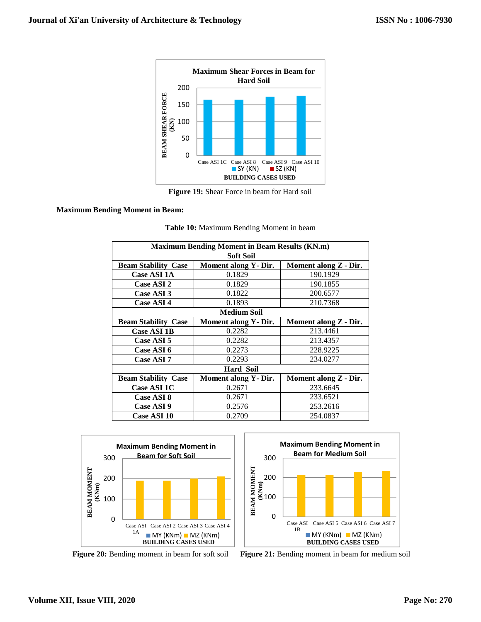

**Figure 19:** Shear Force in beam for Hard soil

#### **Maximum Bending Moment in Beam:**

| <b>Maximum Bending Moment in Beam Results (KN.m)</b> |                              |                       |  |
|------------------------------------------------------|------------------------------|-----------------------|--|
|                                                      | <b>Soft Soil</b>             |                       |  |
| <b>Beam Stability Case</b>                           | <b>Moment along Y - Dir.</b> | Moment along Z - Dir. |  |
| <b>Case ASI 1A</b>                                   | 0.1829                       | 190.1929              |  |
| <b>Case ASI 2</b>                                    | 0.1829                       | 190.1855              |  |
| <b>Case ASI 3</b>                                    | 0.1822                       | 200.6577              |  |
| <b>Case ASI 4</b>                                    | 0.1893                       | 210.7368              |  |
| <b>Medium Soil</b>                                   |                              |                       |  |
| <b>Beam Stability Case</b>                           | <b>Moment along Y - Dir.</b> | Moment along Z - Dir. |  |
| <b>Case ASI 1B</b>                                   | 0.2282                       | 213.4461              |  |
| <b>Case ASI 5</b>                                    | 0.2282                       | 213.4357              |  |
| Case ASI 6                                           | 0.2273                       | 228.9225              |  |
| <b>Case ASI 7</b>                                    | 0.2293                       | 234.0277              |  |
| <b>Hard Soil</b>                                     |                              |                       |  |
| <b>Beam Stability Case</b>                           | Moment along Y- Dir.         | Moment along Z - Dir. |  |
| <b>Case ASI 1C</b>                                   | 0.2671                       | 233.6645              |  |
| Case ASI 8                                           | 0.2671                       | 233.6521              |  |
| Case ASI 9                                           | 0.2576                       | 253.2616              |  |
| Case ASI 10                                          | 0.2709                       | 254.0837              |  |

|  |  | Table 10: Maximum Bending Moment in beam |  |
|--|--|------------------------------------------|--|
|  |  |                                          |  |



0 100 200 300 Case ASI 1B Case ASI 5 Case ASI 6 Case ASI 7 **BEAM MOMENT (KNm) BUILDING CASES USED Maximum Bending Moment in Beam for Medium Soil**   $MY$  (KNm)  $MZ$  (KNm)

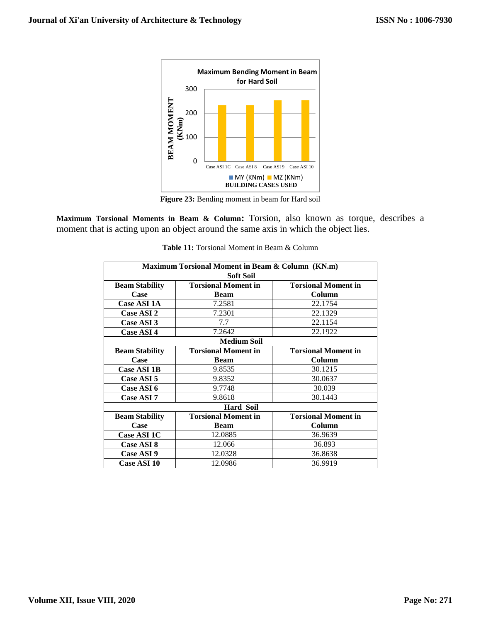

**Figure 23:** Bending moment in beam for Hard soil

**Maximum Torsional Moments in Beam & Column:** Torsion, also known as torque, describes a moment that is acting upon an object around the same axis in which the object lies.

| Maximum Torsional Moment in Beam & Column (KN.m) |                                                          |                            |  |
|--------------------------------------------------|----------------------------------------------------------|----------------------------|--|
|                                                  | <b>Soft Soil</b>                                         |                            |  |
| <b>Beam Stability</b>                            | <b>Torsional Moment in</b><br><b>Torsional Moment in</b> |                            |  |
| Case                                             | <b>Beam</b>                                              | Column                     |  |
| Case ASI 1A                                      | 7.2581                                                   | 22.1754                    |  |
| <b>Case ASI 2</b>                                | 7.2301                                                   | 22.1329                    |  |
| Case ASI 3                                       | 7.7                                                      | 22.1154                    |  |
| <b>Case ASI 4</b>                                | 7.2642                                                   | 22.1922                    |  |
| <b>Medium Soil</b>                               |                                                          |                            |  |
| <b>Beam Stability</b>                            | <b>Torsional Moment in</b>                               | <b>Torsional Moment in</b> |  |
| Case                                             | <b>Beam</b>                                              | Column                     |  |
| <b>Case ASI 1B</b>                               | 9.8535                                                   | 30.1215                    |  |
| Case ASI 5                                       | 9.8352                                                   | 30.0637                    |  |
| Case ASI 6                                       | 9.7748                                                   | 30.039                     |  |
| Case ASI 7                                       | 9.8618                                                   | 30.1443                    |  |
| <b>Hard Soil</b>                                 |                                                          |                            |  |
| <b>Beam Stability</b>                            | <b>Torsional Moment in</b>                               | <b>Torsional Moment in</b> |  |
| Case                                             | <b>Beam</b>                                              | Column                     |  |
| Case ASI 1C                                      | 12.0885                                                  | 36.9639                    |  |
| <b>Case ASI 8</b>                                | 12.066                                                   | 36.893                     |  |
| <b>Case ASI 9</b>                                | 12.0328                                                  | 36.8638                    |  |
| <b>Case ASI 10</b>                               | 12.0986                                                  | 36.9919                    |  |

**Table 11:** Torsional Moment in Beam & Column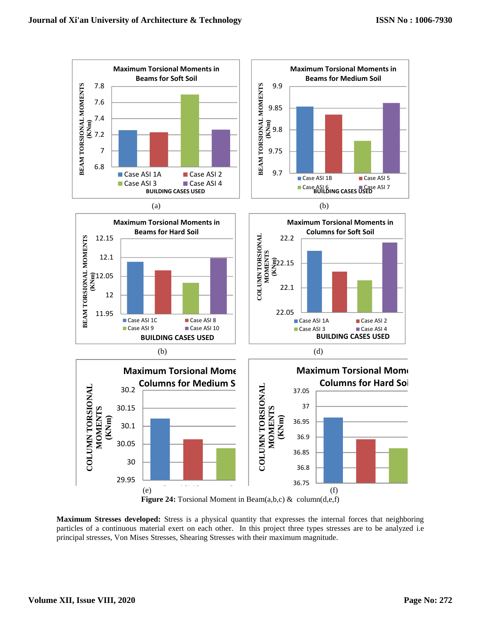

**Maximum Stresses developed:** Stress is a physical quantity that expresses the internal forces that neighboring particles of a continuous material exert on each other. In this project three types stresses are to be analyzed i.e principal stresses, Von Mises Stresses, Shearing Stresses with their maximum magnitude.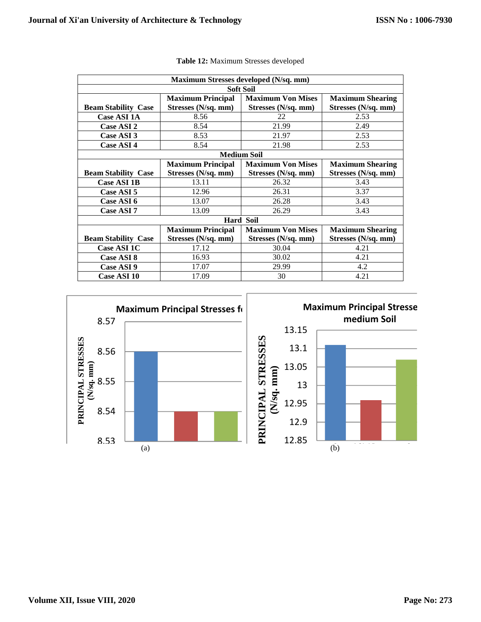| Maximum Stresses developed (N/sq. mm) |                          |                          |                         |
|---------------------------------------|--------------------------|--------------------------|-------------------------|
|                                       |                          | <b>Soft Soil</b>         |                         |
|                                       | <b>Maximum Principal</b> | <b>Maximum Von Mises</b> | <b>Maximum Shearing</b> |
| <b>Beam Stability Case</b>            | Stresses (N/sq. mm)      | Stresses (N/sq. mm)      | Stresses (N/sq. mm)     |
| <b>Case ASI 1A</b>                    | 8.56                     | 22                       | 2.53                    |
| Case ASI 2                            | 8.54                     | 21.99                    | 2.49                    |
| Case ASI 3                            | 8.53                     | 21.97                    | 2.53                    |
| Case ASI 4                            | 8.54                     | 21.98                    | 2.53                    |
| <b>Medium Soil</b>                    |                          |                          |                         |
|                                       | <b>Maximum Principal</b> | <b>Maximum Von Mises</b> | <b>Maximum Shearing</b> |
| <b>Beam Stability Case</b>            | Stresses (N/sq. mm)      | Stresses (N/sq. mm)      | Stresses (N/sq. mm)     |
| <b>Case ASI 1B</b>                    | 13.11                    | 26.32                    | 3.43                    |
| Case ASI 5                            | 12.96                    | 26.31                    | 3.37                    |
| Case ASI 6                            | 13.07                    | 26.28                    | 3.43                    |
| Case ASI 7                            | 13.09                    | 26.29                    | 3.43                    |
| <b>Hard Soil</b>                      |                          |                          |                         |
|                                       | <b>Maximum Principal</b> | <b>Maximum Von Mises</b> | <b>Maximum Shearing</b> |
| <b>Beam Stability Case</b>            | Stresses (N/sq. mm)      | Stresses (N/sq. mm)      | Stresses (N/sq. mm)     |
| <b>Case ASI 1C</b>                    | 17.12                    | 30.04                    | 4.21                    |
| Case ASI 8                            | 16.93                    | 30.02                    | 4.21                    |
| Case ASI 9                            | 17.07                    | 29.99                    | 4.2                     |
| <b>Case ASI 10</b>                    | 17.09                    | 30                       | 4.21                    |

|  |  | Table 12: Maximum Stresses developed |  |  |
|--|--|--------------------------------------|--|--|
|--|--|--------------------------------------|--|--|

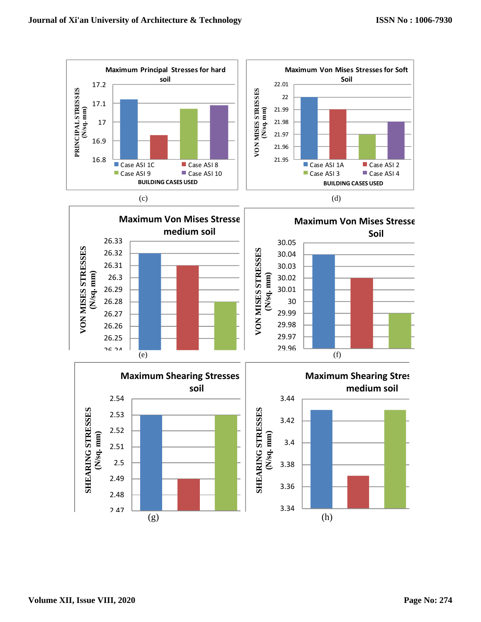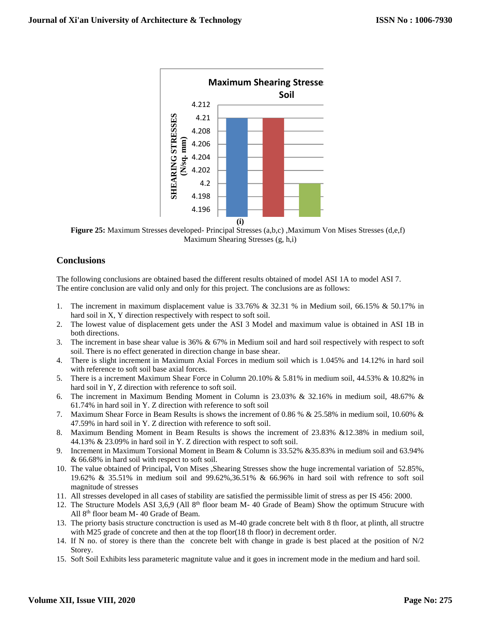

Figure 25: Maximum Stresses developed- Principal Stresses (a,b,c), Maximum Von Mises Stresses (d,e,f) Maximum Shearing Stresses (g, h,i)

# **Conclusions**

The following conclusions are obtained based the different results obtained of model ASI 1A to model ASI 7. The entire conclusion are valid only and only for this project. The conclusions are as follows:

- 1. The increment in maximum displacement value is 33.76% & 32.31 % in Medium soil, 66.15% & 50.17% in hard soil in X, Y direction respectively with respect to soft soil.
- 2. The lowest value of displacement gets under the ASI 3 Model and maximum value is obtained in ASI 1B in both directions.
- 3. The increment in base shear value is 36% & 67% in Medium soil and hard soil respectively with respect to soft soil. There is no effect generated in direction change in base shear.
- 4. There is slight increment in Maximum Axial Forces in medium soil which is 1.045% and 14.12% in hard soil with reference to soft soil base axial forces.
- 5. There is a increment Maximum Shear Force in Column 20.10% & 5.81% in medium soil, 44.53% & 10.82% in hard soil in Y, Z direction with reference to soft soil.
- 6. The increment in Maximum Bending Moment in Column is 23.03% & 32.16% in medium soil, 48.67% & 61.74% in hard soil in Y. Z direction with reference to soft soil
- 7. Maximum Shear Force in Beam Results is shows the increment of 0.86 % & 25.58% in medium soil, 10.60% & 47.59% in hard soil in Y. Z direction with reference to soft soil.
- 8. Maximum Bending Moment in Beam Results is shows the increment of 23.83% &12.38% in medium soil, 44.13% & 23.09% in hard soil in Y. Z direction with respect to soft soil.
- 9. Increment in Maximum Torsional Moment in Beam & Column is 33.52% &35.83% in medium soil and 63.94% & 66.68% in hard soil with respect to soft soil.
- 10. The value obtained of Principal**,** Von Mises ,Shearing Stresses show the huge incremental variation of 52.85%, 19.62% & 35.51% in medium soil and 99.62%,36.51% & 66.96% in hard soil with refrence to soft soil magnitude of stresses
- 11. All stresses developed in all cases of stability are satisfied the permissible limit of stress as per IS 456: 2000.
- 12. The Structure Models ASI 3,6,9 (All  $8<sup>th</sup>$  floor beam M- 40 Grade of Beam) Show the optimum Strucure with All 8<sup>th</sup> floor beam M- 40 Grade of Beam.
- 13. The priorty basis structure conctruction is used as M-40 grade concrete belt with 8 th floor, at plinth, all structre with M25 grade of concrete and then at the top floor(18 th floor) in decrement order.
- 14. If N no. of storey is there than the concrete belt with change in grade is best placed at the position of N/2 Storey.
- 15. Soft Soil Exhibits less parameteric magnitute value and it goes in increment mode in the medium and hard soil.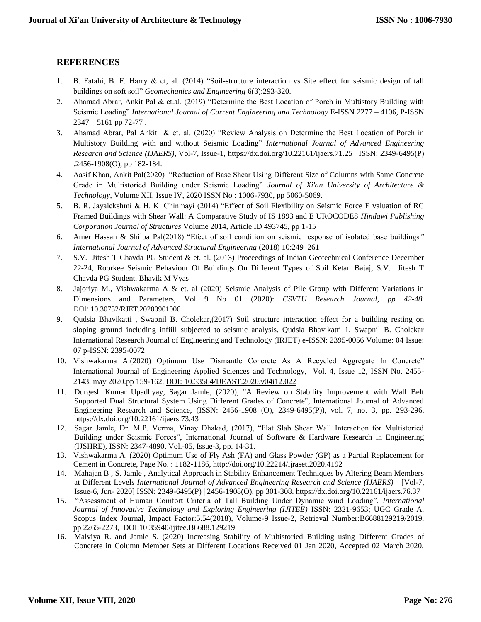# **REFERENCES**

- 1. B. Fatahi, B. F. Harry & et, al. (2014) "Soil-structure interaction vs Site effect for seismic design of tall buildings on soft soil" *Geomechanics and Engineering* 6(3):293-320.
- 2. Ahamad Abrar, Ankit Pal & et.al. (2019) "Determine the Best Location of Porch in Multistory Building with Seismic Loading" *International Journal of Current Engineering and Technology* E-ISSN 2277 – 4106, P-ISSN 2347 – 5161 pp 72-77 .
- 3. Ahamad Abrar, Pal Ankit & et. al. (2020) "Review Analysis on Determine the Best Location of Porch in Multistory Building with and without Seismic Loading" *International Journal of Advanced Engineering Research and Science (IJAERS)*, Vol-7, Issue-1, https://dx.doi.org/10.22161/ijaers.71.25 ISSN: 2349-6495(P) .2456-1908(O), pp 182-184.
- 4. Aasif Khan, Ankit Pal(2020) "Reduction of Base Shear Using Different Size of Columns with Same Concrete Grade in Multistoried Building under Seismic Loading" *Journal of Xi'an University of Architecture & Technology*, Volume XII, Issue IV, 2020 ISSN No : 1006-7930, pp 5060-5069.
- 5. B. R. Jayalekshmi & H. K. Chinmayi (2014) "Effect of Soil Flexibility on Seismic Force E valuation of RC Framed Buildings with Shear Wall: A Comparative Study of IS 1893 and E UROCODE8 *Hindawi Publishing Corporation Journal of Structures* Volume 2014, Article ID 493745, pp 1-15
- 6. Amer Hassan & Shilpa Pal(2018) "Efect of soil condition on seismic response of isolated base buildings*" International Journal of Advanced Structural Engineering* (2018) 10:249–261
- 7. S.V. Jitesh T Chavda PG Student & et. al. (2013) Proceedings of Indian Geotechnical Conference December 22-24, Roorkee Seismic Behaviour Of Buildings On Different Types of Soil Ketan Bajaj, S.V. Jitesh T Chavda PG Student, Bhavik M Vyas
- 8. Jajoriya M., Vishwakarma A & et. al (2020) Seismic Analysis of Pile Group with Different Variations in Dimensions and Parameters, Vol 9 No 01 (2020): *CSVTU Research Journal, pp 42-48.* DOI: [10.30732/RJET.20200901006](https://www.researchgate.net/deref/http%3A%2F%2Fdx.doi.org%2F10.30732%2FRJET.20200901006?_sg%5B0%5D=qGjvq-dMp2cGWTY0OtLyrfboyhcTERFPwkaITPgm0_7ESSg7F6wxyyRymjarnrnAIp9b89oeyYZr4v-syiEeKmn_Hw.RwS-0Zs7tI5SLaBVk2agLR8z8obpvwQwaZ8qqxo3AcE_nKHPuwc-oZISi1tq_PaGUzO1C3WYrPGis-5B6g88Lw)
- 9. Qudsia Bhavikatti , Swapnil B. Cholekar,(2017) Soil structure interaction effect for a building resting on sloping ground including infiill subjected to seismic analysis. Qudsia Bhavikatti 1, Swapnil B. Cholekar International Research Journal of Engineering and Technology (IRJET) e-ISSN: 2395-0056 Volume: 04 Issue: 07 p-ISSN: 2395-0072
- 10. Vishwakarma A.(2020) Optimum Use Dismantle Concrete As A Recycled Aggregate In Concrete" International Journal of Engineering Applied Sciences and Technology, Vol. 4, Issue 12, ISSN No. 2455- 2143, may 2020.pp 159-162, DOI: 10.33564/IJEAST.2020.v04i12.022
- 11. Durgesh Kumar Upadhyay, Sagar Jamle, (2020), "A Review on Stability Improvement with Wall Belt Supported Dual Structural System Using Different Grades of Concrete", International Journal of Advanced Engineering Research and Science, (ISSN: 2456-1908 (O), 2349-6495(P)), vol. 7, no. 3, pp. 293-296. <https://dx.doi.org/10.22161/ijaers.73.43>
- 12. Sagar Jamle, Dr. M.P. Verma, Vinay Dhakad, (2017), "Flat Slab Shear Wall Interaction for Multistoried Building under Seismic Forces", International Journal of Software & Hardware Research in Engineering (IJSHRE), ISSN: 2347-4890, Vol.-05, Issue-3, pp. 14-31.
- 13. Vishwakarma A. (2020) Optimum Use of Fly Ash (FA) and Glass Powder (GP) as a Partial Replacement for Cement in Concrete, Page No. : 1182-1186, http://doi.org/10.22214/ijraset.2020.4192
- 14. Mahajan B , S. Jamle , Analytical Approach in Stability Enhancement Techniques by Altering Beam Members at Different Levels *International Journal of Advanced Engineering Research and Science (IJAERS)* [Vol-7, Issue-6, Jun- 2020] ISSN: 2349-6495(P) | 2456-1908(O), pp 301-308. <https://dx.doi.org/10.22161/ijaers.76.37>
- 15. "Assessment of Human Comfort Criteria of Tall Building Under Dynamic wind Loading", *International Journal of Innovative Technology and Exploring Engineering (IJITEE)* ISSN: 2321-9653; UGC Grade A, Scopus Index Journal, Impact Factor:5.54(2018), Volume-9 Issue-2, Retrieval Number:B6688129219/2019, pp 2265-2273, DOI:10.35940/ijitee.B6688.129219
- 16. Malviya R. and Jamle S. (2020) Increasing Stability of Multistoried Building using Different Grades of Concrete in Column Member Sets at Different Locations Received 01 Jan 2020, Accepted 02 March 2020,